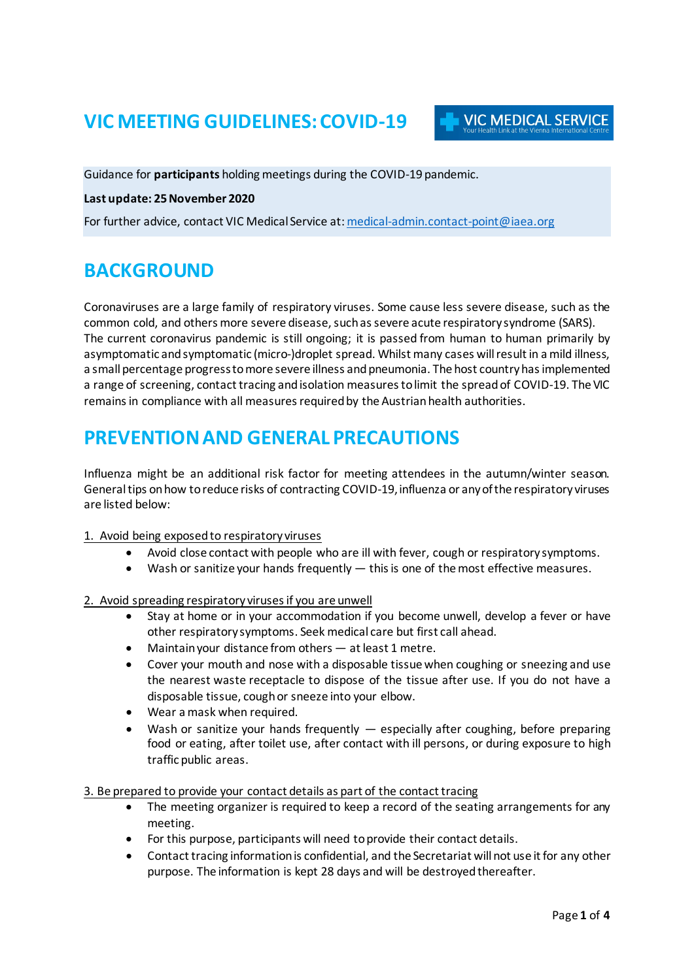## **VIC MEETING GUIDELINES: COVID-19**

Guidance for **participants** holding meetings during the COVID-19 pandemic.

#### **Last update: 25 November 2020**

For further advice, contact VIC Medical Service at: [medical-admin.contact-point@iaea.org](mailto:medical-admin.contact-point@iaea.org)

### **BACKGROUND**

Coronaviruses are a large family of respiratory viruses. Some cause less severe disease, such as the common cold, and others more severe disease, such as severe acute respiratory syndrome (SARS). The current coronavirus pandemic is still ongoing; it is passed from human to human primarily by asymptomatic and symptomatic (micro-)droplet spread. Whilst many cases will result in a mild illness, a small percentage progress to more severe illness and pneumonia. The host country has implemented a range of screening, contact tracing and isolation measuresto limit the spreadof COVID-19. The VIC remains in compliance with all measures required by the Austrian health authorities.

### **PREVENTION AND GENERAL PRECAUTIONS**

Influenza might be an additional risk factor for meeting attendees in the autumn/winter season. General tips on how to reduce risks of contracting COVID-19, influenza or any of the respiratory viruses are listed below:

#### 1. Avoid being exposed to respiratory viruses

- Avoid close contact with people who are ill with fever, cough or respiratory symptoms.
- Wash or sanitize your hands frequently this is one of the most effective measures.
- 2. Avoid spreading respiratory viruses if you are unwell
	- Stay at home or in your accommodation if you become unwell, develop a fever or have other respiratory symptoms. Seek medical care but first call ahead.
	- Maintain your distance from others  $-$  at least 1 metre.
	- Cover your mouth and nose with a disposable tissue when coughing or sneezing and use the nearest waste receptacle to dispose of the tissue after use. If you do not have a disposable tissue, cough or sneeze into your elbow.
	- Wear a mask when required.
	- Wash or sanitize your hands frequently  $-$  especially after coughing, before preparing food or eating, after toilet use, after contact with ill persons, or during exposure to high traffic public areas.

#### 3. Be prepared to provide your contact details as part of the contact tracing

- The meeting organizer is required to keep a record of the seating arrangements for any meeting.
- For this purpose, participants will need to provide their contact details.
- Contact tracing information is confidential, and the Secretariat will not use it for any other purpose. The information is kept 28 days and will be destroyed thereafter.

**VIC MEDICAL SERVICE**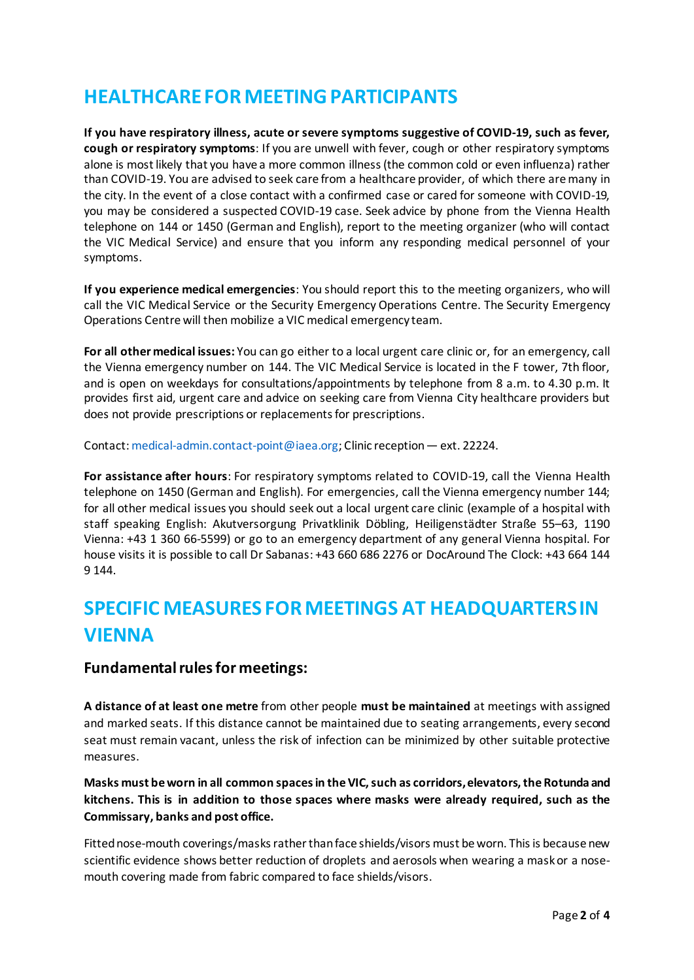## **HEALTHCARE FOR MEETING PARTICIPANTS**

**If you have respiratory illness, acute or severe symptoms suggestive of COVID-19, such as fever, cough or respiratory symptoms**: If you are unwell with fever, cough or other respiratory symptoms alone is most likely that you have a more common illness (the common cold or even influenza) rather than COVID-19. You are advised to seek care from a healthcare provider, of which there are many in the city. In the event of a close contact with a confirmed case or cared for someone with COVID-19, you may be considered a suspected COVID-19 case. Seek advice by phone from the Vienna Health telephone on 144 or 1450 (German and English), report to the meeting organizer (who will contact the VIC Medical Service) and ensure that you inform any responding medical personnel of your symptoms.

**If you experience medical emergencies**: You should report this to the meeting organizers, who will call the VIC Medical Service or the Security Emergency Operations Centre. The Security Emergency Operations Centre will then mobilize a VIC medical emergency team.

**For all other medical issues:** You can go either to a local urgent care clinic or, for an emergency, call the Vienna emergency number on 144. The VIC Medical Service is located in the F tower, 7th floor, and is open on weekdays for consultations/appointments by telephone from 8 a.m. to 4.30 p.m. It provides first aid, urgent care and advice on seeking care from Vienna City healthcare providers but does not provide prescriptions or replacements for prescriptions.

Contact: medical-admin.contact-point@iaea.org; Clinic reception — ext. 22224.

**For assistance after hours**: For respiratory symptoms related to COVID-19, call the Vienna Health telephone on 1450 (German and English). For emergencies, call the Vienna emergency number 144; for all other medical issues you should seek out a local urgent care clinic (example of a hospital with staff speaking English: Akutversorgung Privatklinik Döbling, Heiligenstädter Straße 55–63, 1190 Vienna: +43 1 360 66-5599) or go to an emergency department of any general Vienna hospital. For house visits it is possible to call Dr Sabanas: +43 660 686 2276 or DocAround The Clock: +43 664 144 9 144.

# **SPECIFIC MEASURES FOR MEETINGS AT HEADQUARTERS IN VIENNA**

### **Fundamental rules for meetings:**

**A distance of at least one metre** from other people **must be maintained** at meetings with assigned and marked seats. If this distance cannot be maintained due to seating arrangements, every second seat must remain vacant, unless the risk of infection can be minimized by other suitable protective measures.

**Masks must be worn in all common spaces in the VIC, such as corridors, elevators, the Rotunda and kitchens. This is in addition to those spaces where masks were already required, such as the Commissary, banks and post office.**

Fitted nose-mouth coverings/masks rather than face shields/visors must be worn. This is because new scientific evidence shows better reduction of droplets and aerosols when wearing a mask or a nosemouth covering made from fabric compared to face shields/visors.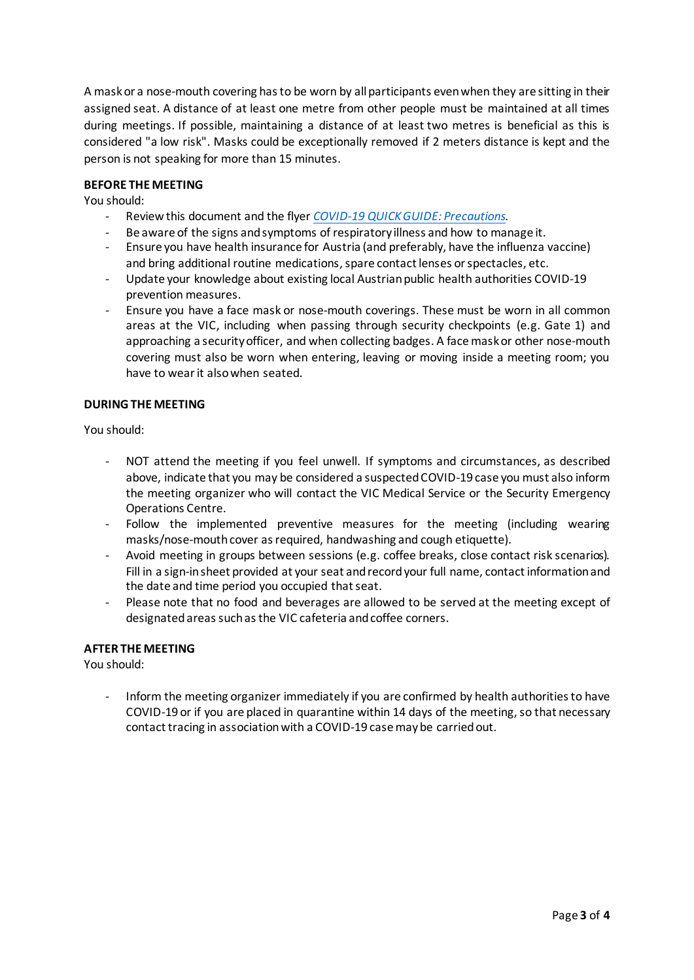A mask or a nose-mouth covering has to be worn by all participants even when they are sitting in their assigned seat. A distance of at least one metre from other people must be maintained at all times during meetings. If possible, maintaining a distance of at least two metres is beneficial as this is considered "a low risk". Masks could be exceptionally removed if 2 meters distance is kept and the person is not speaking for more than 15 minutes.

#### **BEFORE THE MEETING**

You should:

- Review this document and the flyer *[COVID-19 QUICK GUIDE:](https://www.iaea.org/sites/default/files/20/10/covid-19-quick-guide.pdf) Precautions.*
- Be aware of the signs and symptoms of respiratory illness and how to manage it.
- Ensure you have health insurance for Austria (and preferably, have the influenza vaccine) and bring additional routine medications, spare contact lenses or spectacles, etc.
- Update your knowledge about existing local Austrian public health authorities COVID-19 prevention measures.
- Ensure you have a face mask or nose-mouth coverings. These must be worn in all common areas at the VIC, including when passing through security checkpoints (e.g. Gate 1) and approaching a security officer, and when collecting badges. A face mask or other nose-mouth covering must also be worn when entering, leaving or moving inside a meeting room; you have to wear it also when seated.

#### **DURING THE MEETING**

You should:

- NOT attend the meeting if you feel unwell. If symptoms and circumstances, as described above, indicate that you may be considered a suspected COVID-19 case you must also inform the meeting organizer who will contact the VIC Medical Service or the Security Emergency Operations Centre.
- Follow the implemented preventive measures for the meeting (including wearing masks/nose-mouth cover as required, handwashing and cough etiquette).
- Avoid meeting in groups between sessions (e.g. coffee breaks, close contact risk scenarios). Fill in a sign-in sheet provided at your seat andrecord your full name, contact information and the date and time period you occupied that seat.
- Please note that no food and beverages are allowed to be served at the meeting except of designated areas such as the VIC cafeteria and coffee corners.

#### **AFTER THE MEETING**

You should:

Inform the meeting organizer immediately if you are confirmed by health authorities to have COVID-19 or if you are placed in quarantine within 14 days of the meeting, so that necessary contact tracing in association with a COVID-19 case may be carried out.